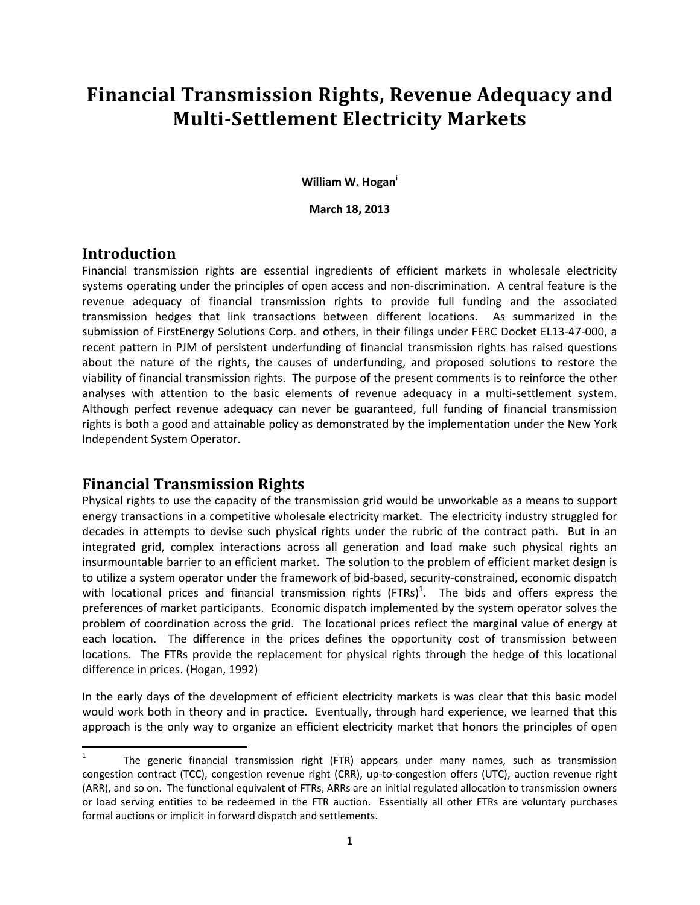# **Financial Transmission Rights, Revenue Adequacy and Multi‐Settlement Electricity Markets**

**William W. Hogan<sup>i</sup>**

**March 18, 2013**

#### **Introduction**

Financial transmission rights are essential ingredients of efficient markets in wholesale electricity systems operating under the principles of open access and non-discrimination. A central feature is the revenue adequacy of financial transmission rights to provide full funding and the associated transmission hedges that link transactions between different locations. As summarized in the submission of FirstEnergy Solutions Corp. and others, in their filings under FERC Docket EL13-47-000, a recent pattern in PJM of persistent underfunding of financial transmission rights has raised questions about the nature of the rights, the causes of underfunding, and proposed solutions to restore the viability of financial transmission rights. The purpose of the present comments is to reinforce the other analyses with attention to the basic elements of revenue adequacy in a multi-settlement system. Although perfect revenue adequacy can never be guaranteed, full funding of financial transmission rights is both a good and attainable policy as demonstrated by the implementation under the New York Independent System Operator.

## **Financial Transmission Rights**

Physical rights to use the capacity of the transmission grid would be unworkable as a means to support energy transactions in a competitive wholesale electricity market. The electricity industry struggled for decades in attempts to devise such physical rights under the rubric of the contract path. But in an integrated grid, complex interactions across all generation and load make such physical rights an insurmountable barrier to an efficient market. The solution to the problem of efficient market design is to utilize a system operator under the framework of bid‐based, security‐constrained, economic dispatch with locational prices and financial transmission rights  $(\text{FTRs})^1$ . The bids and offers express the preferences of market participants. Economic dispatch implemented by the system operator solves the problem of coordination across the grid. The locational prices reflect the marginal value of energy at each location. The difference in the prices defines the opportunity cost of transmission between locations. The FTRs provide the replacement for physical rights through the hedge of this locational difference in prices. (Hogan, 1992)

In the early days of the development of efficient electricity markets is was clear that this basic model would work both in theory and in practice. Eventually, through hard experience, we learned that this approach is the only way to organize an efficient electricity market that honors the principles of open

<sup>1</sup> The generic financial transmission right (FTR) appears under many names, such as transmission congestion contract (TCC), congestion revenue right (CRR), up‐to‐congestion offers (UTC), auction revenue right (ARR), and so on. The functional equivalent of FTRs, ARRs are an initial regulated allocation to transmission owners or load serving entities to be redeemed in the FTR auction. Essentially all other FTRs are voluntary purchases formal auctions or implicit in forward dispatch and settlements.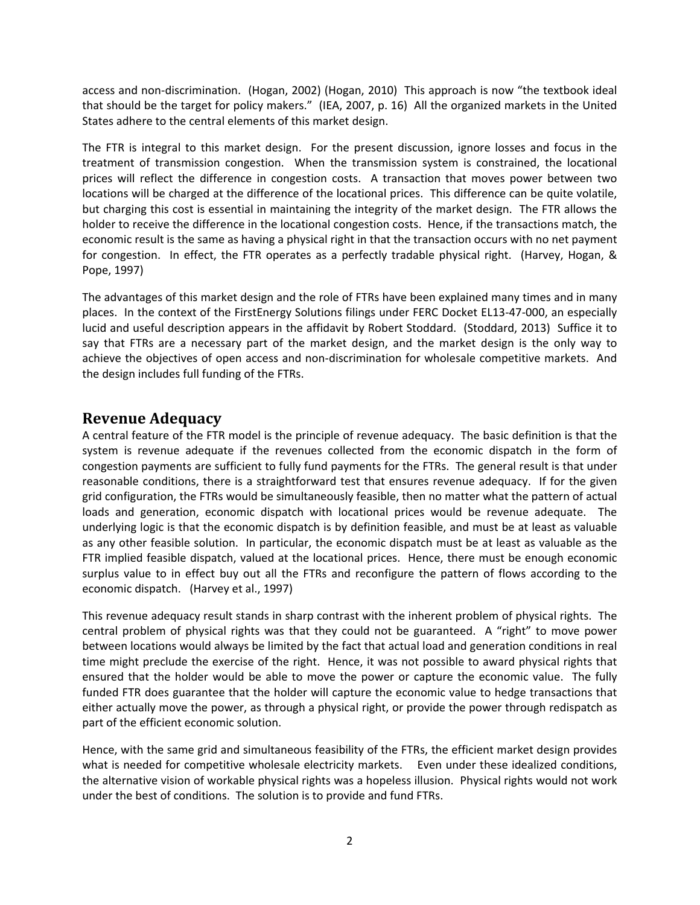access and non‐discrimination. (Hogan, 2002) (Hogan, 2010) This approach is now "the textbook ideal that should be the target for policy makers." (IEA, 2007, p. 16) All the organized markets in the United States adhere to the central elements of this market design.

The FTR is integral to this market design. For the present discussion, ignore losses and focus in the treatment of transmission congestion. When the transmission system is constrained, the locational prices will reflect the difference in congestion costs. A transaction that moves power between two locations will be charged at the difference of the locational prices. This difference can be quite volatile, but charging this cost is essential in maintaining the integrity of the market design. The FTR allows the holder to receive the difference in the locational congestion costs. Hence, if the transactions match, the economic result is the same as having a physical right in that the transaction occurs with no net payment for congestion. In effect, the FTR operates as a perfectly tradable physical right. (Harvey, Hogan, & Pope, 1997)

The advantages of this market design and the role of FTRs have been explained many times and in many places. In the context of the FirstEnergy Solutions filings under FERC Docket EL13‐47‐000, an especially lucid and useful description appears in the affidavit by Robert Stoddard. (Stoddard, 2013) Suffice it to say that FTRs are a necessary part of the market design, and the market design is the only way to achieve the objectives of open access and non‐discrimination for wholesale competitive markets. And the design includes full funding of the FTRs.

## **Revenue Adequacy**

A central feature of the FTR model is the principle of revenue adequacy. The basic definition is that the system is revenue adequate if the revenues collected from the economic dispatch in the form of congestion payments are sufficient to fully fund payments for the FTRs. The general result is that under reasonable conditions, there is a straightforward test that ensures revenue adequacy. If for the given grid configuration, the FTRs would be simultaneously feasible, then no matter what the pattern of actual loads and generation, economic dispatch with locational prices would be revenue adequate. The underlying logic is that the economic dispatch is by definition feasible, and must be at least as valuable as any other feasible solution. In particular, the economic dispatch must be at least as valuable as the FTR implied feasible dispatch, valued at the locational prices. Hence, there must be enough economic surplus value to in effect buy out all the FTRs and reconfigure the pattern of flows according to the economic dispatch. (Harvey et al., 1997)

This revenue adequacy result stands in sharp contrast with the inherent problem of physical rights. The central problem of physical rights was that they could not be guaranteed. A "right" to move power between locations would always be limited by the fact that actual load and generation conditions in real time might preclude the exercise of the right. Hence, it was not possible to award physical rights that ensured that the holder would be able to move the power or capture the economic value. The fully funded FTR does guarantee that the holder will capture the economic value to hedge transactions that either actually move the power, as through a physical right, or provide the power through redispatch as part of the efficient economic solution.

Hence, with the same grid and simultaneous feasibility of the FTRs, the efficient market design provides what is needed for competitive wholesale electricity markets. Even under these idealized conditions, the alternative vision of workable physical rights was a hopeless illusion. Physical rights would not work under the best of conditions. The solution is to provide and fund FTRs.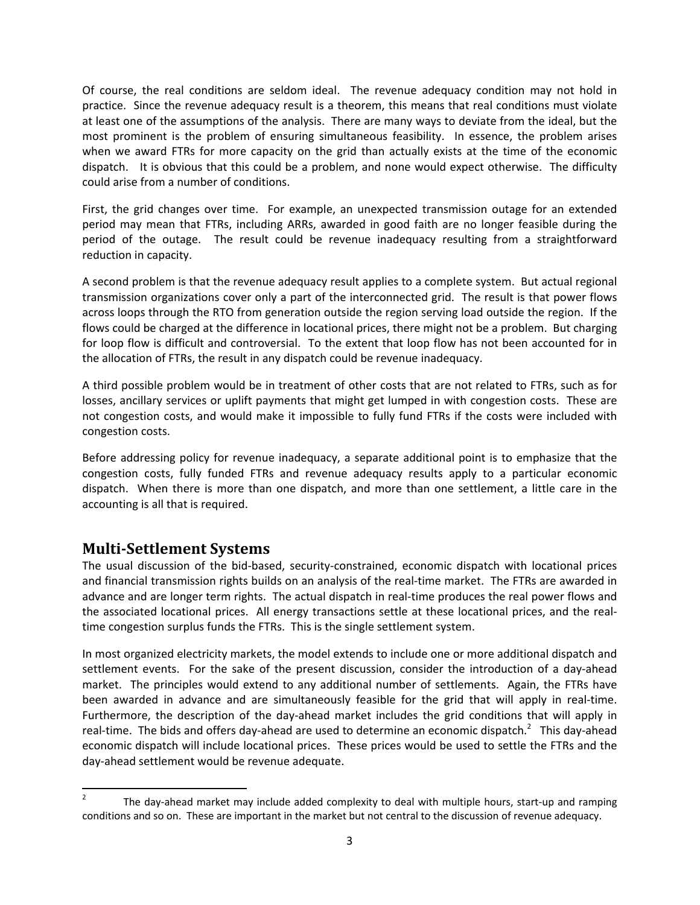Of course, the real conditions are seldom ideal. The revenue adequacy condition may not hold in practice. Since the revenue adequacy result is a theorem, this means that real conditions must violate at least one of the assumptions of the analysis. There are many ways to deviate from the ideal, but the most prominent is the problem of ensuring simultaneous feasibility. In essence, the problem arises when we award FTRs for more capacity on the grid than actually exists at the time of the economic dispatch. It is obvious that this could be a problem, and none would expect otherwise. The difficulty could arise from a number of conditions.

First, the grid changes over time. For example, an unexpected transmission outage for an extended period may mean that FTRs, including ARRs, awarded in good faith are no longer feasible during the period of the outage. The result could be revenue inadequacy resulting from a straightforward reduction in capacity.

A second problem is that the revenue adequacy result applies to a complete system. But actual regional transmission organizations cover only a part of the interconnected grid. The result is that power flows across loops through the RTO from generation outside the region serving load outside the region. If the flows could be charged at the difference in locational prices, there might not be a problem. But charging for loop flow is difficult and controversial. To the extent that loop flow has not been accounted for in the allocation of FTRs, the result in any dispatch could be revenue inadequacy.

A third possible problem would be in treatment of other costs that are not related to FTRs, such as for losses, ancillary services or uplift payments that might get lumped in with congestion costs. These are not congestion costs, and would make it impossible to fully fund FTRs if the costs were included with congestion costs.

Before addressing policy for revenue inadequacy, a separate additional point is to emphasize that the congestion costs, fully funded FTRs and revenue adequacy results apply to a particular economic dispatch. When there is more than one dispatch, and more than one settlement, a little care in the accounting is all that is required.

## **Multi‐Settlement Systems**

The usual discussion of the bid‐based, security‐constrained, economic dispatch with locational prices and financial transmission rights builds on an analysis of the real‐time market. The FTRs are awarded in advance and are longer term rights. The actual dispatch in real-time produces the real power flows and the associated locational prices. All energy transactions settle at these locational prices, and the real‐ time congestion surplus funds the FTRs. This is the single settlement system.

In most organized electricity markets, the model extends to include one or more additional dispatch and settlement events. For the sake of the present discussion, consider the introduction of a day-ahead market. The principles would extend to any additional number of settlements. Again, the FTRs have been awarded in advance and are simultaneously feasible for the grid that will apply in real-time. Furthermore, the description of the day-ahead market includes the grid conditions that will apply in real-time. The bids and offers day-ahead are used to determine an economic dispatch.<sup>2</sup> This day-ahead economic dispatch will include locational prices. These prices would be used to settle the FTRs and the day‐ahead settlement would be revenue adequate.

 2 The day-ahead market may include added complexity to deal with multiple hours, start-up and ramping conditions and so on. These are important in the market but not central to the discussion of revenue adequacy.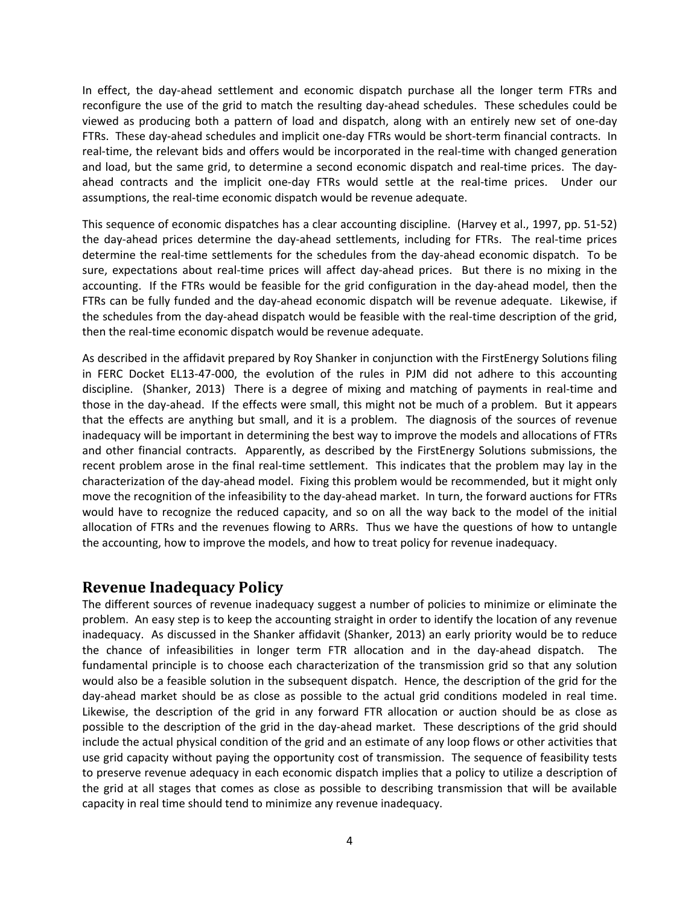In effect, the day‐ahead settlement and economic dispatch purchase all the longer term FTRs and reconfigure the use of the grid to match the resulting day‐ahead schedules. These schedules could be viewed as producing both a pattern of load and dispatch, along with an entirely new set of one‐day FTRs. These day‐ahead schedules and implicit one‐day FTRs would be short‐term financial contracts. In real-time, the relevant bids and offers would be incorporated in the real-time with changed generation and load, but the same grid, to determine a second economic dispatch and real-time prices. The dayahead contracts and the implicit one-day FTRs would settle at the real-time prices. Under our assumptions, the real‐time economic dispatch would be revenue adequate.

This sequence of economic dispatches has a clear accounting discipline. (Harvey et al., 1997, pp. 51‐52) the day-ahead prices determine the day-ahead settlements, including for FTRs. The real-time prices determine the real‐time settlements for the schedules from the day‐ahead economic dispatch. To be sure, expectations about real-time prices will affect day-ahead prices. But there is no mixing in the accounting. If the FTRs would be feasible for the grid configuration in the day-ahead model, then the FTRs can be fully funded and the day-ahead economic dispatch will be revenue adequate. Likewise, if the schedules from the day‐ahead dispatch would be feasible with the real‐time description of the grid, then the real-time economic dispatch would be revenue adequate.

As described in the affidavit prepared by Roy Shanker in conjunction with the FirstEnergy Solutions filing in FERC Docket EL13‐47‐000, the evolution of the rules in PJM did not adhere to this accounting discipline. (Shanker, 2013) There is a degree of mixing and matching of payments in real‐time and those in the day‐ahead. If the effects were small, this might not be much of a problem. But it appears that the effects are anything but small, and it is a problem. The diagnosis of the sources of revenue inadequacy will be important in determining the best way to improve the models and allocations of FTRs and other financial contracts. Apparently, as described by the FirstEnergy Solutions submissions, the recent problem arose in the final real-time settlement. This indicates that the problem may lay in the characterization of the day‐ahead model. Fixing this problem would be recommended, but it might only move the recognition of the infeasibility to the day-ahead market. In turn, the forward auctions for FTRs would have to recognize the reduced capacity, and so on all the way back to the model of the initial allocation of FTRs and the revenues flowing to ARRs. Thus we have the questions of how to untangle the accounting, how to improve the models, and how to treat policy for revenue inadequacy.

#### **Revenue Inadequacy Policy**

The different sources of revenue inadequacy suggest a number of policies to minimize or eliminate the problem. An easy step is to keep the accounting straight in order to identify the location of any revenue inadequacy. As discussed in the Shanker affidavit (Shanker, 2013) an early priority would be to reduce the chance of infeasibilities in longer term FTR allocation and in the day-ahead dispatch. The fundamental principle is to choose each characterization of the transmission grid so that any solution would also be a feasible solution in the subsequent dispatch. Hence, the description of the grid for the day‐ahead market should be as close as possible to the actual grid conditions modeled in real time. Likewise, the description of the grid in any forward FTR allocation or auction should be as close as possible to the description of the grid in the day‐ahead market. These descriptions of the grid should include the actual physical condition of the grid and an estimate of any loop flows or other activities that use grid capacity without paying the opportunity cost of transmission. The sequence of feasibility tests to preserve revenue adequacy in each economic dispatch implies that a policy to utilize a description of the grid at all stages that comes as close as possible to describing transmission that will be available capacity in real time should tend to minimize any revenue inadequacy.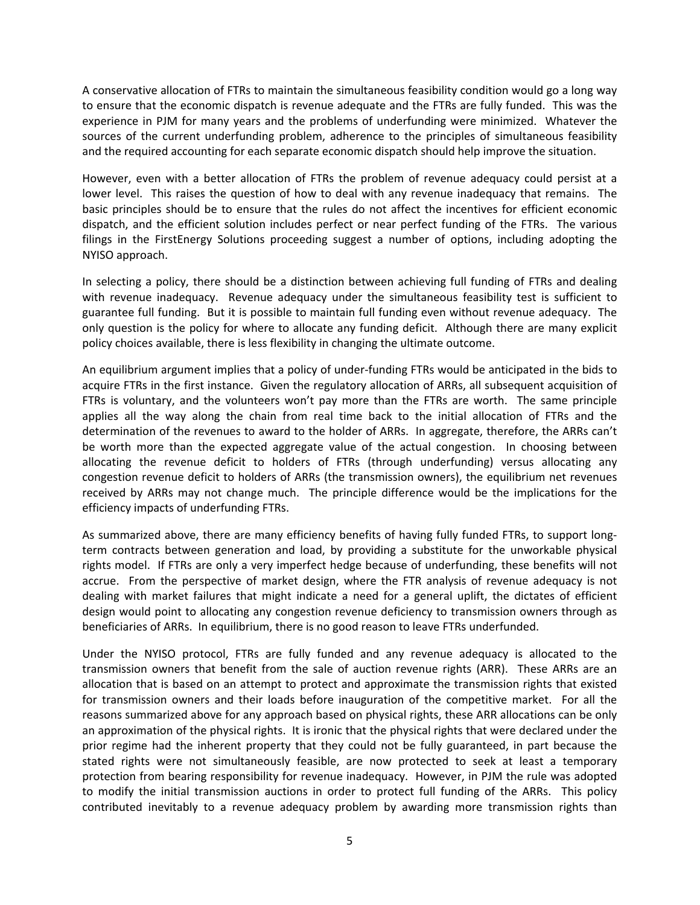A conservative allocation of FTRs to maintain the simultaneous feasibility condition would go a long way to ensure that the economic dispatch is revenue adequate and the FTRs are fully funded. This was the experience in PJM for many years and the problems of underfunding were minimized. Whatever the sources of the current underfunding problem, adherence to the principles of simultaneous feasibility and the required accounting for each separate economic dispatch should help improve the situation.

However, even with a better allocation of FTRs the problem of revenue adequacy could persist at a lower level. This raises the question of how to deal with any revenue inadequacy that remains. The basic principles should be to ensure that the rules do not affect the incentives for efficient economic dispatch, and the efficient solution includes perfect or near perfect funding of the FTRs. The various filings in the FirstEnergy Solutions proceeding suggest a number of options, including adopting the NYISO approach.

In selecting a policy, there should be a distinction between achieving full funding of FTRs and dealing with revenue inadequacy. Revenue adequacy under the simultaneous feasibility test is sufficient to guarantee full funding. But it is possible to maintain full funding even without revenue adequacy. The only question is the policy for where to allocate any funding deficit. Although there are many explicit policy choices available, there is less flexibility in changing the ultimate outcome.

An equilibrium argument implies that a policy of under‐funding FTRs would be anticipated in the bids to acquire FTRs in the first instance. Given the regulatory allocation of ARRs, all subsequent acquisition of FTRs is voluntary, and the volunteers won't pay more than the FTRs are worth. The same principle applies all the way along the chain from real time back to the initial allocation of FTRs and the determination of the revenues to award to the holder of ARRs. In aggregate, therefore, the ARRs can't be worth more than the expected aggregate value of the actual congestion. In choosing between allocating the revenue deficit to holders of FTRs (through underfunding) versus allocating any congestion revenue deficit to holders of ARRs (the transmission owners), the equilibrium net revenues received by ARRs may not change much. The principle difference would be the implications for the efficiency impacts of underfunding FTRs.

As summarized above, there are many efficiency benefits of having fully funded FTRs, to support long‐ term contracts between generation and load, by providing a substitute for the unworkable physical rights model. If FTRs are only a very imperfect hedge because of underfunding, these benefits will not accrue. From the perspective of market design, where the FTR analysis of revenue adequacy is not dealing with market failures that might indicate a need for a general uplift, the dictates of efficient design would point to allocating any congestion revenue deficiency to transmission owners through as beneficiaries of ARRs. In equilibrium, there is no good reason to leave FTRs underfunded.

Under the NYISO protocol, FTRs are fully funded and any revenue adequacy is allocated to the transmission owners that benefit from the sale of auction revenue rights (ARR). These ARRs are an allocation that is based on an attempt to protect and approximate the transmission rights that existed for transmission owners and their loads before inauguration of the competitive market. For all the reasons summarized above for any approach based on physical rights, these ARR allocations can be only an approximation of the physical rights. It is ironic that the physical rights that were declared under the prior regime had the inherent property that they could not be fully guaranteed, in part because the stated rights were not simultaneously feasible, are now protected to seek at least a temporary protection from bearing responsibility for revenue inadequacy. However, in PJM the rule was adopted to modify the initial transmission auctions in order to protect full funding of the ARRs. This policy contributed inevitably to a revenue adequacy problem by awarding more transmission rights than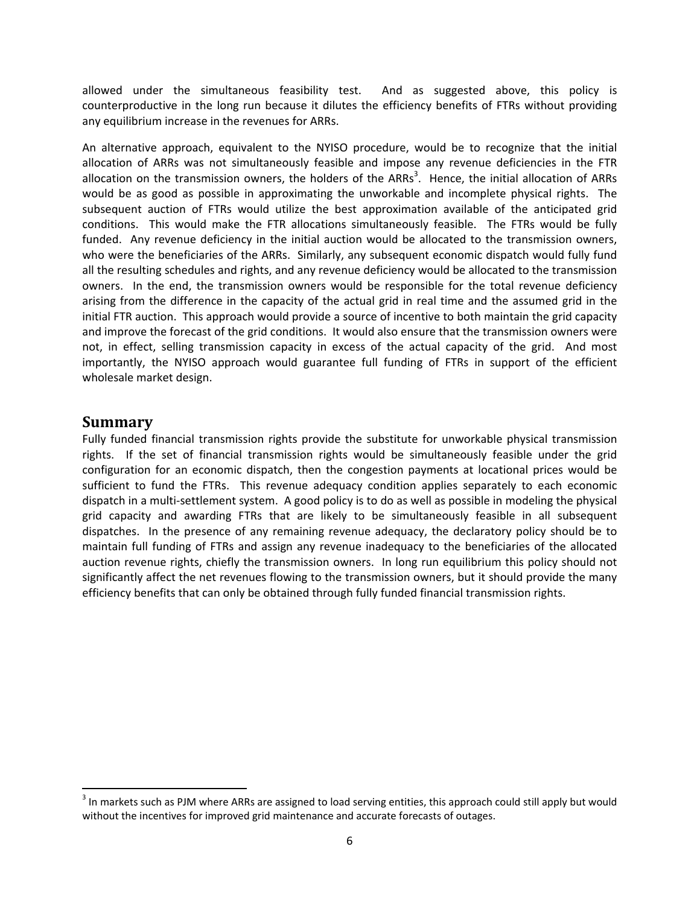allowed under the simultaneous feasibility test. And as suggested above, this policy is counterproductive in the long run because it dilutes the efficiency benefits of FTRs without providing any equilibrium increase in the revenues for ARRs.

An alternative approach, equivalent to the NYISO procedure, would be to recognize that the initial allocation of ARRs was not simultaneously feasible and impose any revenue deficiencies in the FTR allocation on the transmission owners, the holders of the ARRs<sup>3</sup>. Hence, the initial allocation of ARRs would be as good as possible in approximating the unworkable and incomplete physical rights. The subsequent auction of FTRs would utilize the best approximation available of the anticipated grid conditions. This would make the FTR allocations simultaneously feasible. The FTRs would be fully funded. Any revenue deficiency in the initial auction would be allocated to the transmission owners, who were the beneficiaries of the ARRs. Similarly, any subsequent economic dispatch would fully fund all the resulting schedules and rights, and any revenue deficiency would be allocated to the transmission owners. In the end, the transmission owners would be responsible for the total revenue deficiency arising from the difference in the capacity of the actual grid in real time and the assumed grid in the initial FTR auction. This approach would provide a source of incentive to both maintain the grid capacity and improve the forecast of the grid conditions. It would also ensure that the transmission owners were not, in effect, selling transmission capacity in excess of the actual capacity of the grid. And most importantly, the NYISO approach would guarantee full funding of FTRs in support of the efficient wholesale market design.

#### **Summary**

Fully funded financial transmission rights provide the substitute for unworkable physical transmission rights. If the set of financial transmission rights would be simultaneously feasible under the grid configuration for an economic dispatch, then the congestion payments at locational prices would be sufficient to fund the FTRs. This revenue adequacy condition applies separately to each economic dispatch in a multi‐settlement system. A good policy is to do as well as possible in modeling the physical grid capacity and awarding FTRs that are likely to be simultaneously feasible in all subsequent dispatches. In the presence of any remaining revenue adequacy, the declaratory policy should be to maintain full funding of FTRs and assign any revenue inadequacy to the beneficiaries of the allocated auction revenue rights, chiefly the transmission owners. In long run equilibrium this policy should not significantly affect the net revenues flowing to the transmission owners, but it should provide the many efficiency benefits that can only be obtained through fully funded financial transmission rights.

<sup>&</sup>lt;sup>3</sup> In markets such as PJM where ARRs are assigned to load serving entities, this approach could still apply but would without the incentives for improved grid maintenance and accurate forecasts of outages.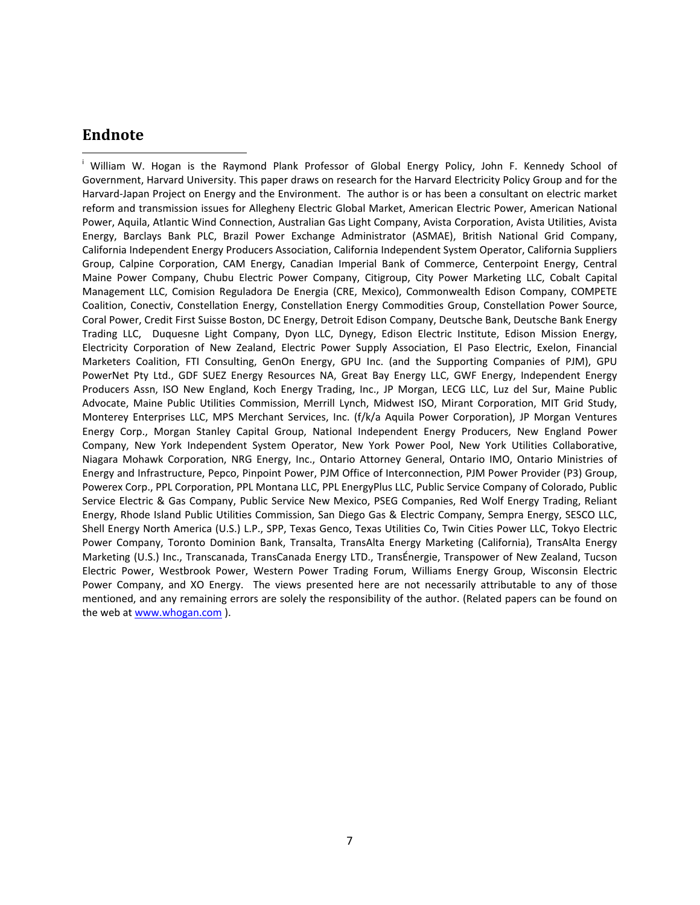#### **Endnote**

<sup>i</sup> William W. Hogan is the Raymond Plank Professor of Global Energy Policy, John F. Kennedy School of Government, Harvard University. This paper draws on research for the Harvard Electricity Policy Group and for the Harvard‐Japan Project on Energy and the Environment. The author is or has been a consultant on electric market reform and transmission issues for Allegheny Electric Global Market, American Electric Power, American National Power, Aquila, Atlantic Wind Connection, Australian Gas Light Company, Avista Corporation, Avista Utilities, Avista Energy, Barclays Bank PLC, Brazil Power Exchange Administrator (ASMAE), British National Grid Company, California Independent Energy Producers Association, California Independent System Operator, California Suppliers Group, Calpine Corporation, CAM Energy, Canadian Imperial Bank of Commerce, Centerpoint Energy, Central Maine Power Company, Chubu Electric Power Company, Citigroup, City Power Marketing LLC, Cobalt Capital Management LLC, Comision Reguladora De Energia (CRE, Mexico), Commonwealth Edison Company, COMPETE Coalition, Conectiv, Constellation Energy, Constellation Energy Commodities Group, Constellation Power Source, Coral Power, Credit First Suisse Boston, DC Energy, Detroit Edison Company, Deutsche Bank, Deutsche Bank Energy Trading LLC, Duquesne Light Company, Dyon LLC, Dynegy, Edison Electric Institute, Edison Mission Energy, Electricity Corporation of New Zealand, Electric Power Supply Association, El Paso Electric, Exelon, Financial Marketers Coalition, FTI Consulting, GenOn Energy, GPU Inc. (and the Supporting Companies of PJM), GPU PowerNet Pty Ltd., GDF SUEZ Energy Resources NA, Great Bay Energy LLC, GWF Energy, Independent Energy Producers Assn, ISO New England, Koch Energy Trading, Inc., JP Morgan, LECG LLC, Luz del Sur, Maine Public Advocate, Maine Public Utilities Commission, Merrill Lynch, Midwest ISO, Mirant Corporation, MIT Grid Study, Monterey Enterprises LLC, MPS Merchant Services, Inc. (f/k/a Aquila Power Corporation), JP Morgan Ventures Energy Corp., Morgan Stanley Capital Group, National Independent Energy Producers, New England Power Company, New York Independent System Operator, New York Power Pool, New York Utilities Collaborative, Niagara Mohawk Corporation, NRG Energy, Inc., Ontario Attorney General, Ontario IMO, Ontario Ministries of Energy and Infrastructure, Pepco, Pinpoint Power, PJM Office of Interconnection, PJM Power Provider (P3) Group, Powerex Corp., PPL Corporation, PPL Montana LLC, PPL EnergyPlus LLC, Public Service Company of Colorado, Public Service Electric & Gas Company, Public Service New Mexico, PSEG Companies, Red Wolf Energy Trading, Reliant Energy, Rhode Island Public Utilities Commission, San Diego Gas & Electric Company, Sempra Energy, SESCO LLC, Shell Energy North America (U.S.) L.P., SPP, Texas Genco, Texas Utilities Co, Twin Cities Power LLC, Tokyo Electric Power Company, Toronto Dominion Bank, Transalta, TransAlta Energy Marketing (California), TransAlta Energy Marketing (U.S.) Inc., Transcanada, TransCanada Energy LTD., TransÉnergie, Transpower of New Zealand, Tucson Electric Power, Westbrook Power, Western Power Trading Forum, Williams Energy Group, Wisconsin Electric Power Company, and XO Energy. The views presented here are not necessarily attributable to any of those mentioned, and any remaining errors are solely the responsibility of the author. (Related papers can be found on the web at www.whogan.com ).